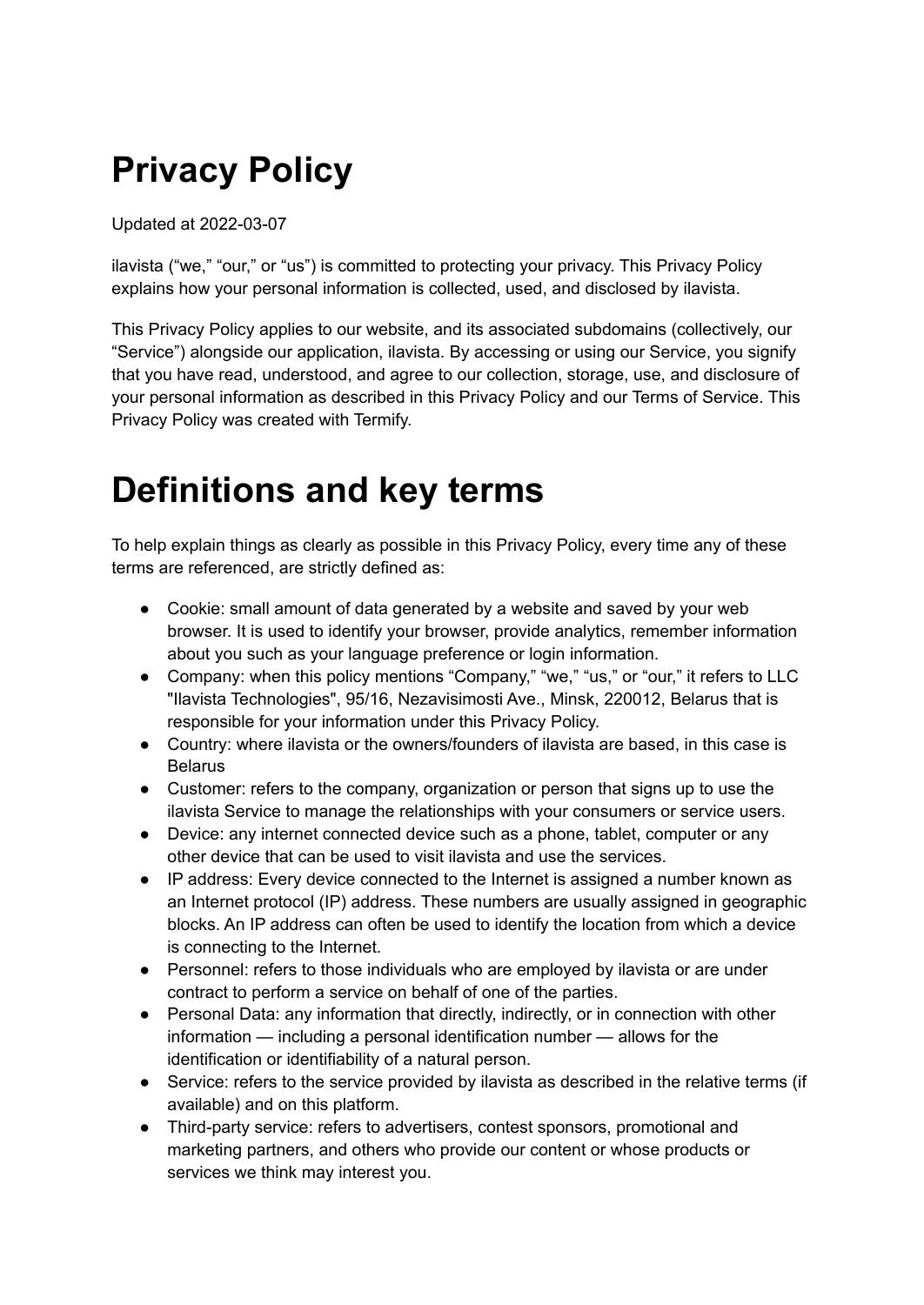# **Privacy Policy**

Updated at 2022-03-07

ilavista ("we," "our," or "us") is committed to protecting your privacy. This Privacy Policy explains how your personal information is collected, used, and disclosed by ilavista.

This Privacy Policy applies to our website, and its associated subdomains (collectively, our "Service") alongside our application, ilavista. By accessing or using our Service, you signify that you have read, understood, and agree to our collection, storage, use, and disclosure of your personal information as described in this Privacy Policy and our Terms of Service. This Privacy Policy was created with Termify.

### **Definitions and key terms**

To help explain things as clearly as possible in this Privacy Policy, every time any of these terms are referenced, are strictly defined as:

- Cookie: small amount of data generated by a website and saved by your web browser. It is used to identify your browser, provide analytics, remember information about you such as your language preference or login information.
- Company: when this policy mentions "Company," "we," "us," or "our," it refers to LLC "Ilavista Technologies", 95/16, Nezavisimosti Ave., Minsk, 220012, Belarus that is responsible for your information under this Privacy Policy.
- Country: where ilavista or the owners/founders of ilavista are based, in this case is Belarus
- Customer: refers to the company, organization or person that signs up to use the ilavista Service to manage the relationships with your consumers or service users.
- Device: any internet connected device such as a phone, tablet, computer or any other device that can be used to visit ilavista and use the services.
- IP address: Every device connected to the Internet is assigned a number known as an Internet protocol (IP) address. These numbers are usually assigned in geographic blocks. An IP address can often be used to identify the location from which a device is connecting to the Internet.
- Personnel: refers to those individuals who are employed by ilavista or are under contract to perform a service on behalf of one of the parties.
- Personal Data: any information that directly, indirectly, or in connection with other information — including a personal identification number — allows for the identification or identifiability of a natural person.
- Service: refers to the service provided by ilavista as described in the relative terms (if available) and on this platform.
- Third-party service: refers to advertisers, contest sponsors, promotional and marketing partners, and others who provide our content or whose products or services we think may interest you.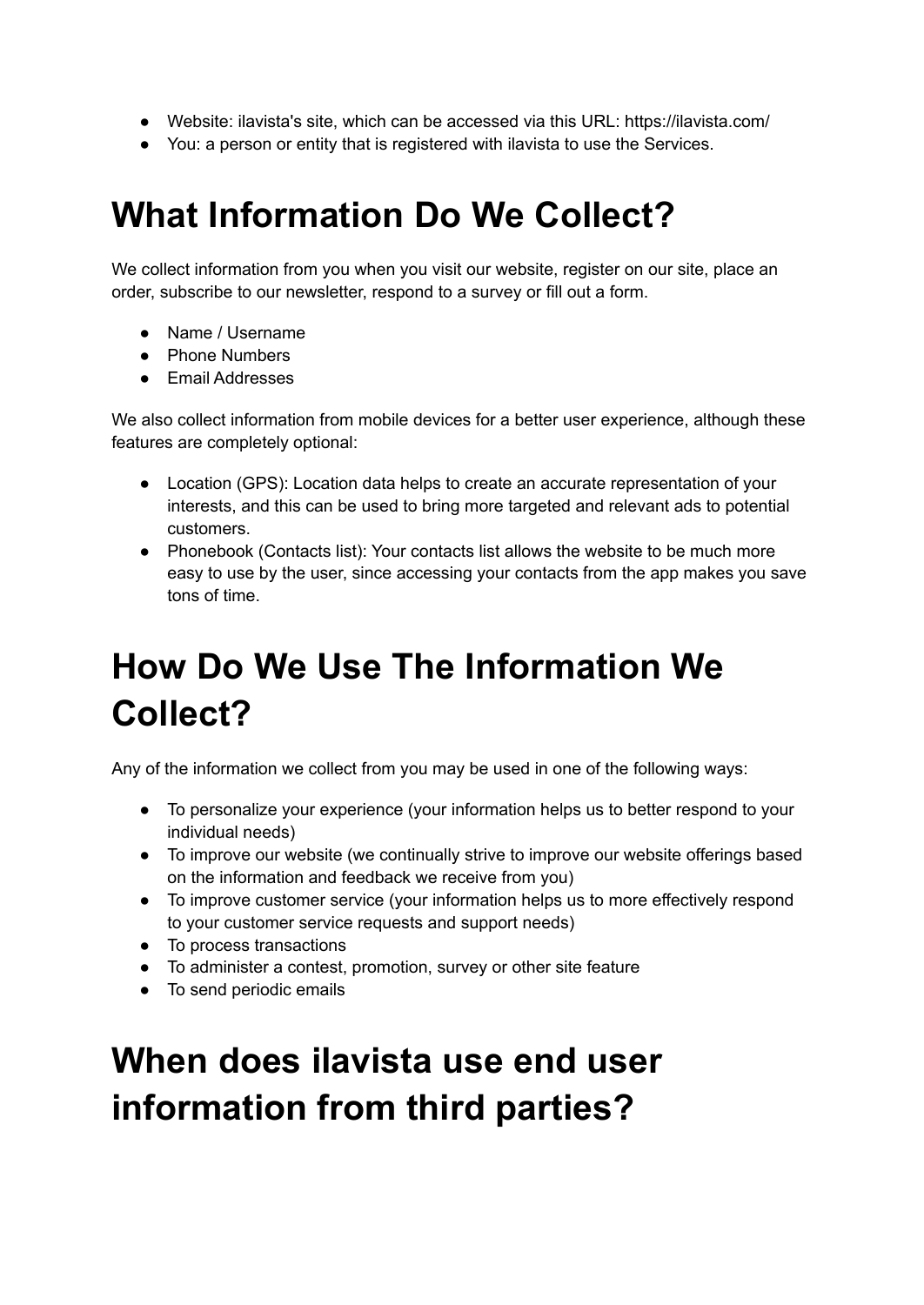- Website: ilavista's site, which can be accessed via this URL: https://ilavista.com/
- You: a person or entity that is registered with ilavista to use the Services.

### **What Information Do We Collect?**

We collect information from you when you visit our website, register on our site, place an order, subscribe to our newsletter, respond to a survey or fill out a form.

- Name / Username
- Phone Numbers
- Email Addresses

We also collect information from mobile devices for a better user experience, although these features are completely optional:

- Location (GPS): Location data helps to create an accurate representation of your interests, and this can be used to bring more targeted and relevant ads to potential customers.
- Phonebook (Contacts list): Your contacts list allows the website to be much more easy to use by the user, since accessing your contacts from the app makes you save tons of time.

## **How Do We Use The Information We Collect?**

Any of the information we collect from you may be used in one of the following ways:

- To personalize your experience (your information helps us to better respond to your individual needs)
- To improve our website (we continually strive to improve our website offerings based on the information and feedback we receive from you)
- To improve customer service (your information helps us to more effectively respond to your customer service requests and support needs)
- To process transactions
- To administer a contest, promotion, survey or other site feature
- To send periodic emails

## **When does ilavista use end user information from third parties?**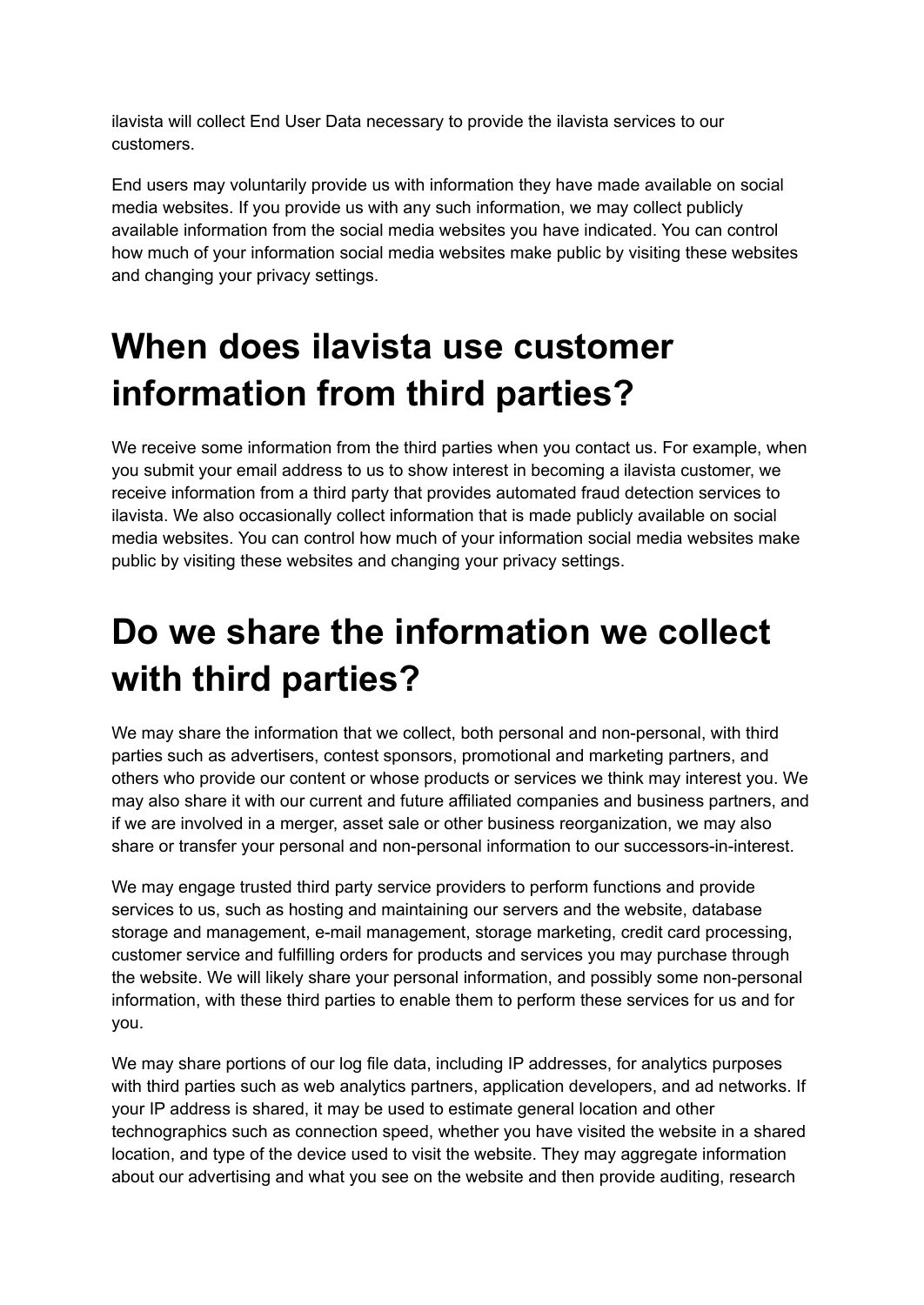ilavista will collect End User Data necessary to provide the ilavista services to our customers.

End users may voluntarily provide us with information they have made available on social media websites. If you provide us with any such information, we may collect publicly available information from the social media websites you have indicated. You can control how much of your information social media websites make public by visiting these websites and changing your privacy settings.

## **When does ilavista use customer information from third parties?**

We receive some information from the third parties when you contact us. For example, when you submit your email address to us to show interest in becoming a ilavista customer, we receive information from a third party that provides automated fraud detection services to ilavista. We also occasionally collect information that is made publicly available on social media websites. You can control how much of your information social media websites make public by visiting these websites and changing your privacy settings.

# **Do we share the information we collect with third parties?**

We may share the information that we collect, both personal and non-personal, with third parties such as advertisers, contest sponsors, promotional and marketing partners, and others who provide our content or whose products or services we think may interest you. We may also share it with our current and future affiliated companies and business partners, and if we are involved in a merger, asset sale or other business reorganization, we may also share or transfer your personal and non-personal information to our successors-in-interest.

We may engage trusted third party service providers to perform functions and provide services to us, such as hosting and maintaining our servers and the website, database storage and management, e-mail management, storage marketing, credit card processing, customer service and fulfilling orders for products and services you may purchase through the website. We will likely share your personal information, and possibly some non-personal information, with these third parties to enable them to perform these services for us and for you.

We may share portions of our log file data, including IP addresses, for analytics purposes with third parties such as web analytics partners, application developers, and ad networks. If your IP address is shared, it may be used to estimate general location and other technographics such as connection speed, whether you have visited the website in a shared location, and type of the device used to visit the website. They may aggregate information about our advertising and what you see on the website and then provide auditing, research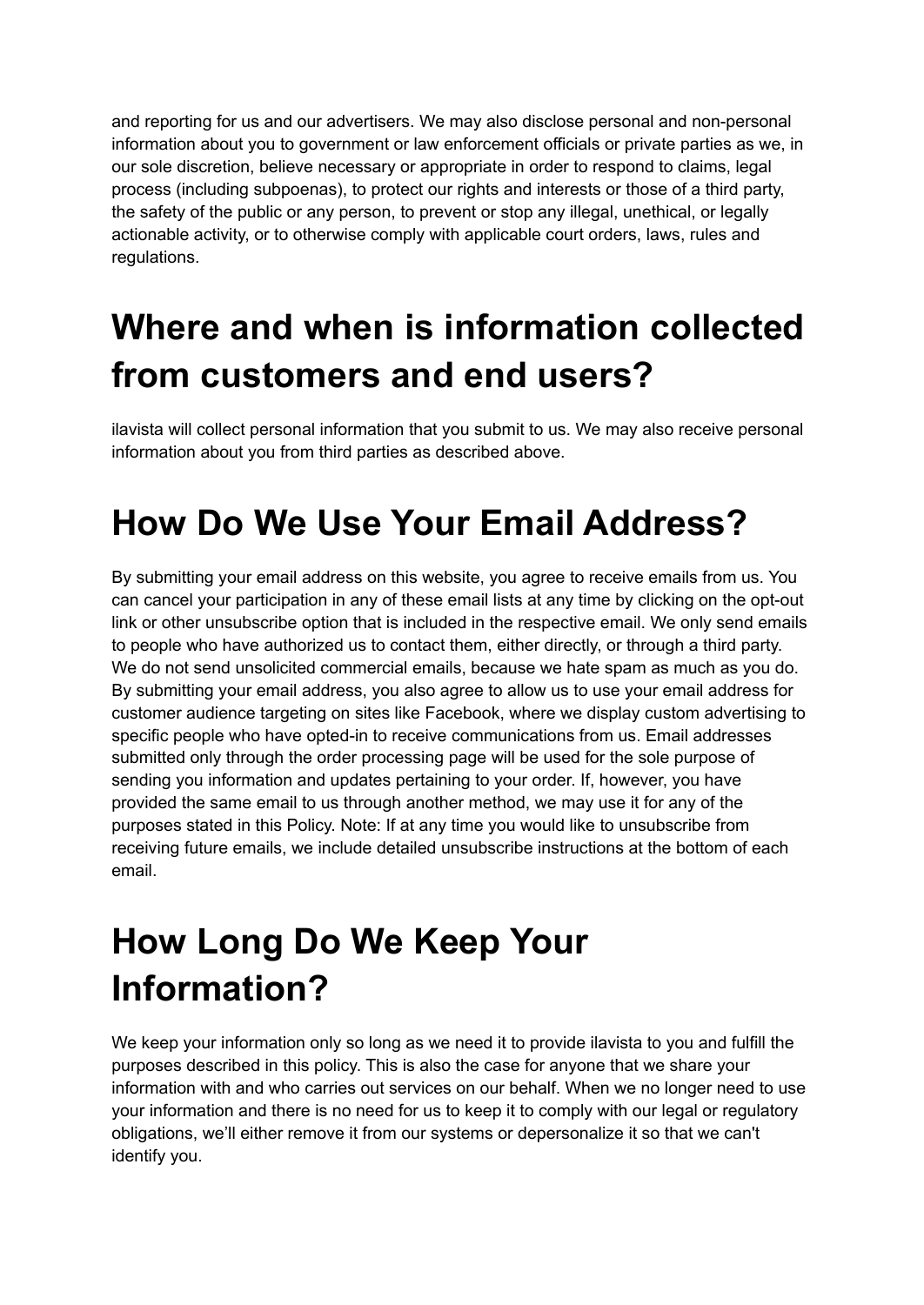and reporting for us and our advertisers. We may also disclose personal and non-personal information about you to government or law enforcement officials or private parties as we, in our sole discretion, believe necessary or appropriate in order to respond to claims, legal process (including subpoenas), to protect our rights and interests or those of a third party, the safety of the public or any person, to prevent or stop any illegal, unethical, or legally actionable activity, or to otherwise comply with applicable court orders, laws, rules and regulations.

# **Where and when is information collected from customers and end users?**

ilavista will collect personal information that you submit to us. We may also receive personal information about you from third parties as described above.

### **How Do We Use Your Email Address?**

By submitting your email address on this website, you agree to receive emails from us. You can cancel your participation in any of these email lists at any time by clicking on the opt-out link or other unsubscribe option that is included in the respective email. We only send emails to people who have authorized us to contact them, either directly, or through a third party. We do not send unsolicited commercial emails, because we hate spam as much as you do. By submitting your email address, you also agree to allow us to use your email address for customer audience targeting on sites like Facebook, where we display custom advertising to specific people who have opted-in to receive communications from us. Email addresses submitted only through the order processing page will be used for the sole purpose of sending you information and updates pertaining to your order. If, however, you have provided the same email to us through another method, we may use it for any of the purposes stated in this Policy. Note: If at any time you would like to unsubscribe from receiving future emails, we include detailed unsubscribe instructions at the bottom of each email.

## **How Long Do We Keep Your Information?**

We keep your information only so long as we need it to provide ilavista to you and fulfill the purposes described in this policy. This is also the case for anyone that we share your information with and who carries out services on our behalf. When we no longer need to use your information and there is no need for us to keep it to comply with our legal or regulatory obligations, we'll either remove it from our systems or depersonalize it so that we can't identify you.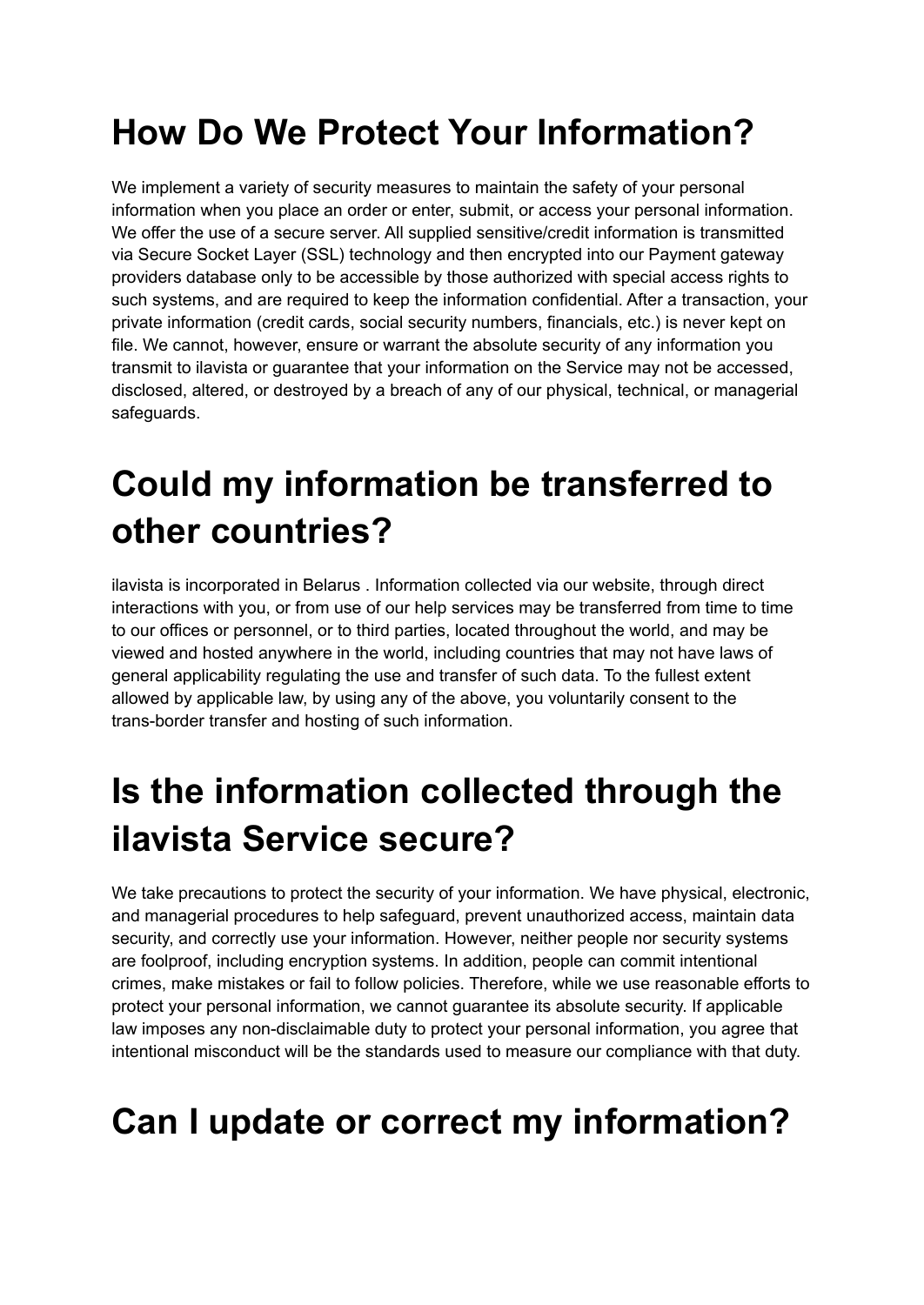# **How Do We Protect Your Information?**

We implement a variety of security measures to maintain the safety of your personal information when you place an order or enter, submit, or access your personal information. We offer the use of a secure server. All supplied sensitive/credit information is transmitted via Secure Socket Layer (SSL) technology and then encrypted into our Payment gateway providers database only to be accessible by those authorized with special access rights to such systems, and are required to keep the information confidential. After a transaction, your private information (credit cards, social security numbers, financials, etc.) is never kept on file. We cannot, however, ensure or warrant the absolute security of any information you transmit to ilavista or guarantee that your information on the Service may not be accessed, disclosed, altered, or destroyed by a breach of any of our physical, technical, or managerial safeguards.

## **Could my information be transferred to other countries?**

ilavista is incorporated in Belarus . Information collected via our website, through direct interactions with you, or from use of our help services may be transferred from time to time to our offices or personnel, or to third parties, located throughout the world, and may be viewed and hosted anywhere in the world, including countries that may not have laws of general applicability regulating the use and transfer of such data. To the fullest extent allowed by applicable law, by using any of the above, you voluntarily consent to the trans-border transfer and hosting of such information.

#### **Is the information collected through the ilavista Service secure?**

We take precautions to protect the security of your information. We have physical, electronic, and managerial procedures to help safeguard, prevent unauthorized access, maintain data security, and correctly use your information. However, neither people nor security systems are foolproof, including encryption systems. In addition, people can commit intentional crimes, make mistakes or fail to follow policies. Therefore, while we use reasonable efforts to protect your personal information, we cannot guarantee its absolute security. If applicable law imposes any non-disclaimable duty to protect your personal information, you agree that intentional misconduct will be the standards used to measure our compliance with that duty.

## **Can I update or correct my information?**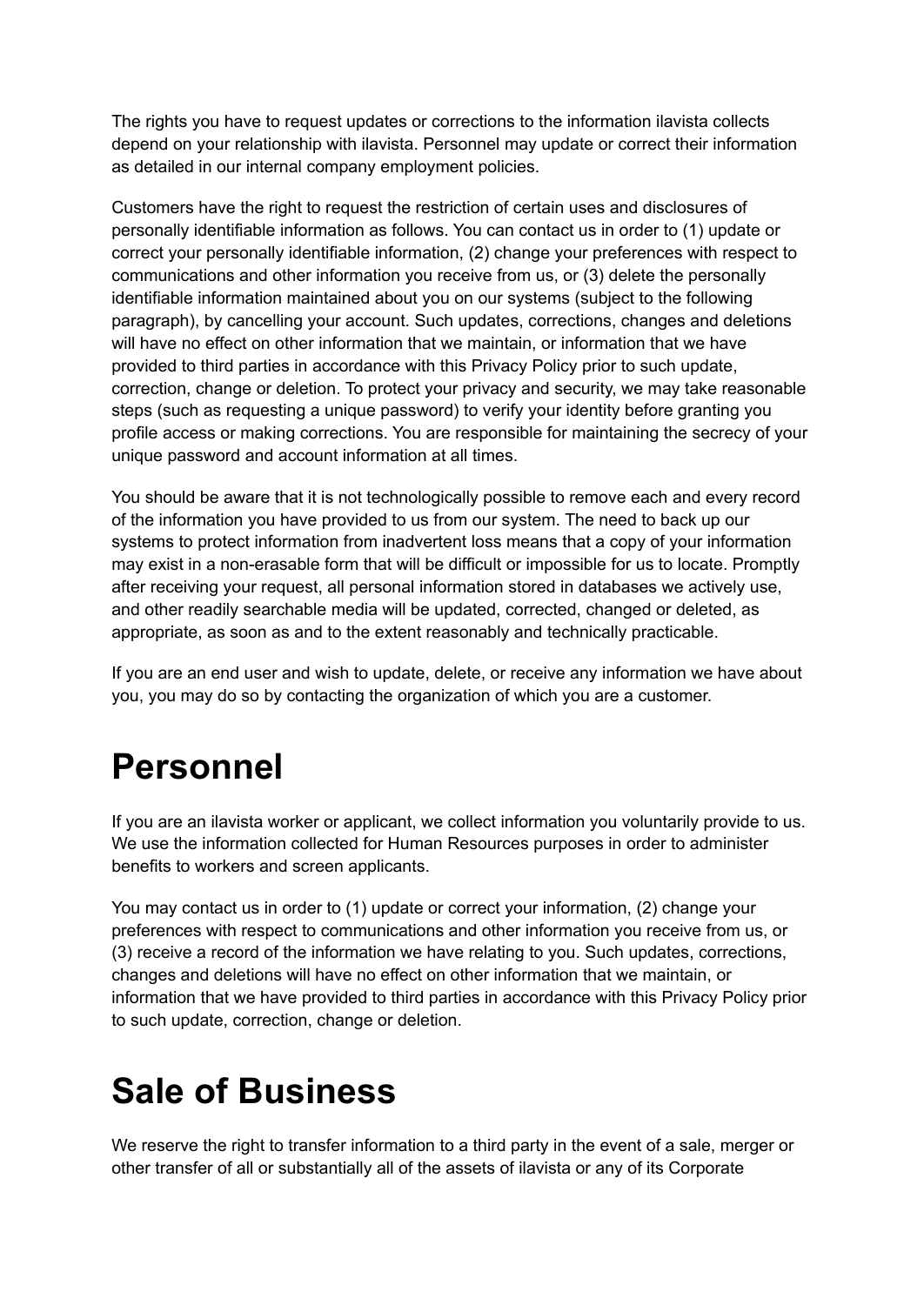The rights you have to request updates or corrections to the information ilavista collects depend on your relationship with ilavista. Personnel may update or correct their information as detailed in our internal company employment policies.

Customers have the right to request the restriction of certain uses and disclosures of personally identifiable information as follows. You can contact us in order to (1) update or correct your personally identifiable information, (2) change your preferences with respect to communications and other information you receive from us, or (3) delete the personally identifiable information maintained about you on our systems (subject to the following paragraph), by cancelling your account. Such updates, corrections, changes and deletions will have no effect on other information that we maintain, or information that we have provided to third parties in accordance with this Privacy Policy prior to such update, correction, change or deletion. To protect your privacy and security, we may take reasonable steps (such as requesting a unique password) to verify your identity before granting you profile access or making corrections. You are responsible for maintaining the secrecy of your unique password and account information at all times.

You should be aware that it is not technologically possible to remove each and every record of the information you have provided to us from our system. The need to back up our systems to protect information from inadvertent loss means that a copy of your information may exist in a non-erasable form that will be difficult or impossible for us to locate. Promptly after receiving your request, all personal information stored in databases we actively use, and other readily searchable media will be updated, corrected, changed or deleted, as appropriate, as soon as and to the extent reasonably and technically practicable.

If you are an end user and wish to update, delete, or receive any information we have about you, you may do so by contacting the organization of which you are a customer.

#### **Personnel**

If you are an ilavista worker or applicant, we collect information you voluntarily provide to us. We use the information collected for Human Resources purposes in order to administer benefits to workers and screen applicants.

You may contact us in order to (1) update or correct your information, (2) change your preferences with respect to communications and other information you receive from us, or (3) receive a record of the information we have relating to you. Such updates, corrections, changes and deletions will have no effect on other information that we maintain, or information that we have provided to third parties in accordance with this Privacy Policy prior to such update, correction, change or deletion.

## **Sale of Business**

We reserve the right to transfer information to a third party in the event of a sale, merger or other transfer of all or substantially all of the assets of ilavista or any of its Corporate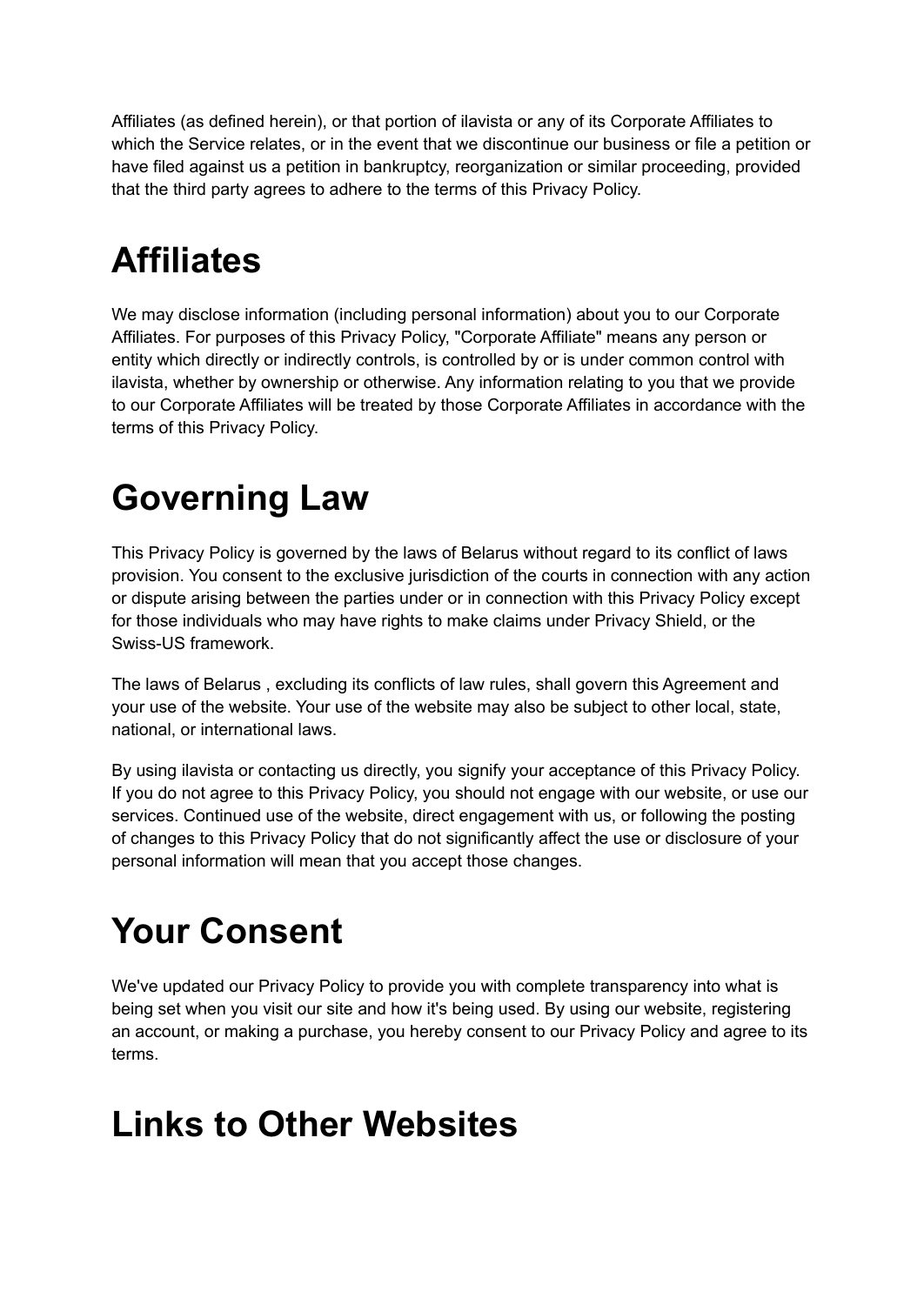Affiliates (as defined herein), or that portion of ilavista or any of its Corporate Affiliates to which the Service relates, or in the event that we discontinue our business or file a petition or have filed against us a petition in bankruptcy, reorganization or similar proceeding, provided that the third party agrees to adhere to the terms of this Privacy Policy.

## **Affiliates**

We may disclose information (including personal information) about you to our Corporate Affiliates. For purposes of this Privacy Policy, "Corporate Affiliate" means any person or entity which directly or indirectly controls, is controlled by or is under common control with ilavista, whether by ownership or otherwise. Any information relating to you that we provide to our Corporate Affiliates will be treated by those Corporate Affiliates in accordance with the terms of this Privacy Policy.

#### **Governing Law**

This Privacy Policy is governed by the laws of Belarus without regard to its conflict of laws provision. You consent to the exclusive jurisdiction of the courts in connection with any action or dispute arising between the parties under or in connection with this Privacy Policy except for those individuals who may have rights to make claims under Privacy Shield, or the Swiss-US framework.

The laws of Belarus , excluding its conflicts of law rules, shall govern this Agreement and your use of the website. Your use of the website may also be subject to other local, state, national, or international laws.

By using ilavista or contacting us directly, you signify your acceptance of this Privacy Policy. If you do not agree to this Privacy Policy, you should not engage with our website, or use our services. Continued use of the website, direct engagement with us, or following the posting of changes to this Privacy Policy that do not significantly affect the use or disclosure of your personal information will mean that you accept those changes.

# **Your Consent**

We've updated our Privacy Policy to provide you with complete transparency into what is being set when you visit our site and how it's being used. By using our website, registering an account, or making a purchase, you hereby consent to our Privacy Policy and agree to its terms.

#### **Links to Other Websites**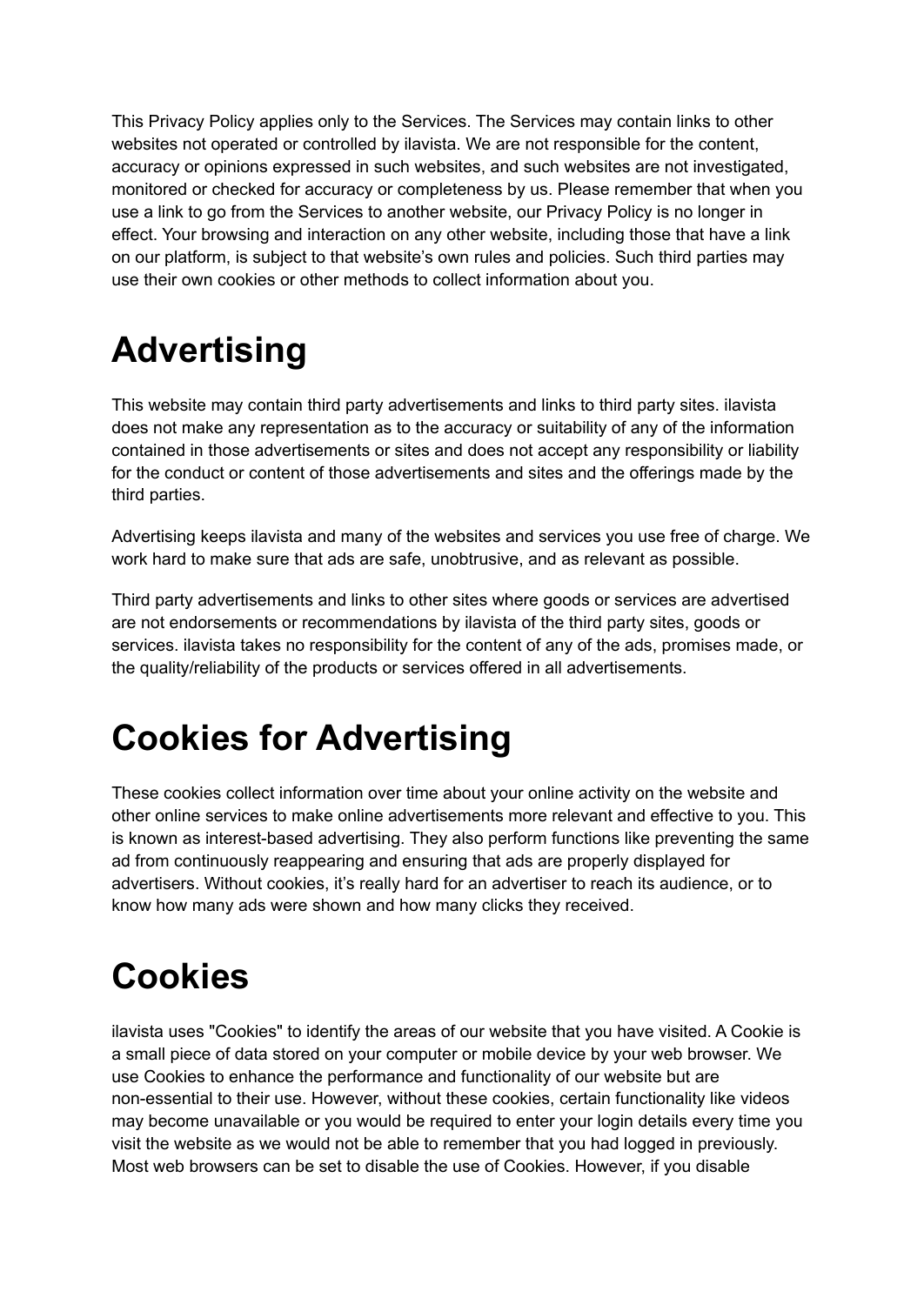This Privacy Policy applies only to the Services. The Services may contain links to other websites not operated or controlled by ilavista. We are not responsible for the content, accuracy or opinions expressed in such websites, and such websites are not investigated, monitored or checked for accuracy or completeness by us. Please remember that when you use a link to go from the Services to another website, our Privacy Policy is no longer in effect. Your browsing and interaction on any other website, including those that have a link on our platform, is subject to that website's own rules and policies. Such third parties may use their own cookies or other methods to collect information about you.

# **Advertising**

This website may contain third party advertisements and links to third party sites. ilavista does not make any representation as to the accuracy or suitability of any of the information contained in those advertisements or sites and does not accept any responsibility or liability for the conduct or content of those advertisements and sites and the offerings made by the third parties.

Advertising keeps ilavista and many of the websites and services you use free of charge. We work hard to make sure that ads are safe, unobtrusive, and as relevant as possible.

Third party advertisements and links to other sites where goods or services are advertised are not endorsements or recommendations by ilavista of the third party sites, goods or services. ilavista takes no responsibility for the content of any of the ads, promises made, or the quality/reliability of the products or services offered in all advertisements.

## **Cookies for Advertising**

These cookies collect information over time about your online activity on the website and other online services to make online advertisements more relevant and effective to you. This is known as interest-based advertising. They also perform functions like preventing the same ad from continuously reappearing and ensuring that ads are properly displayed for advertisers. Without cookies, it's really hard for an advertiser to reach its audience, or to know how many ads were shown and how many clicks they received.

# **Cookies**

ilavista uses "Cookies" to identify the areas of our website that you have visited. A Cookie is a small piece of data stored on your computer or mobile device by your web browser. We use Cookies to enhance the performance and functionality of our website but are non-essential to their use. However, without these cookies, certain functionality like videos may become unavailable or you would be required to enter your login details every time you visit the website as we would not be able to remember that you had logged in previously. Most web browsers can be set to disable the use of Cookies. However, if you disable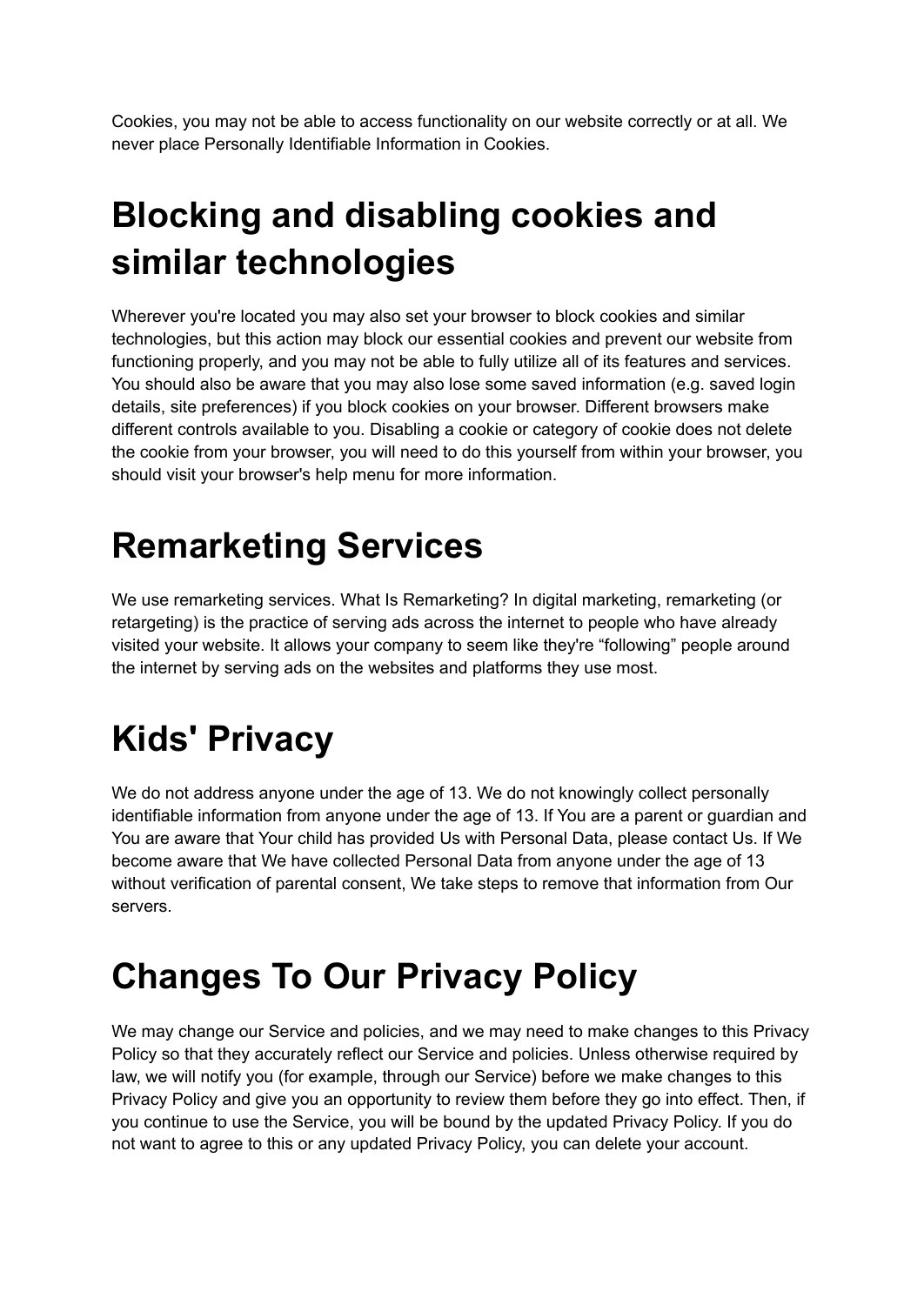Cookies, you may not be able to access functionality on our website correctly or at all. We never place Personally Identifiable Information in Cookies.

# **Blocking and disabling cookies and similar technologies**

Wherever you're located you may also set your browser to block cookies and similar technologies, but this action may block our essential cookies and prevent our website from functioning properly, and you may not be able to fully utilize all of its features and services. You should also be aware that you may also lose some saved information (e.g. saved login details, site preferences) if you block cookies on your browser. Different browsers make different controls available to you. Disabling a cookie or category of cookie does not delete the cookie from your browser, you will need to do this yourself from within your browser, you should visit your browser's help menu for more information.

# **Remarketing Services**

We use remarketing services. What Is Remarketing? In digital marketing, remarketing (or retargeting) is the practice of serving ads across the internet to people who have already visited your website. It allows your company to seem like they're "following" people around the internet by serving ads on the websites and platforms they use most.

# **Kids' Privacy**

We do not address anyone under the age of 13. We do not knowingly collect personally identifiable information from anyone under the age of 13. If You are a parent or guardian and You are aware that Your child has provided Us with Personal Data, please contact Us. If We become aware that We have collected Personal Data from anyone under the age of 13 without verification of parental consent, We take steps to remove that information from Our servers.

# **Changes To Our Privacy Policy**

We may change our Service and policies, and we may need to make changes to this Privacy Policy so that they accurately reflect our Service and policies. Unless otherwise required by law, we will notify you (for example, through our Service) before we make changes to this Privacy Policy and give you an opportunity to review them before they go into effect. Then, if you continue to use the Service, you will be bound by the updated Privacy Policy. If you do not want to agree to this or any updated Privacy Policy, you can delete your account.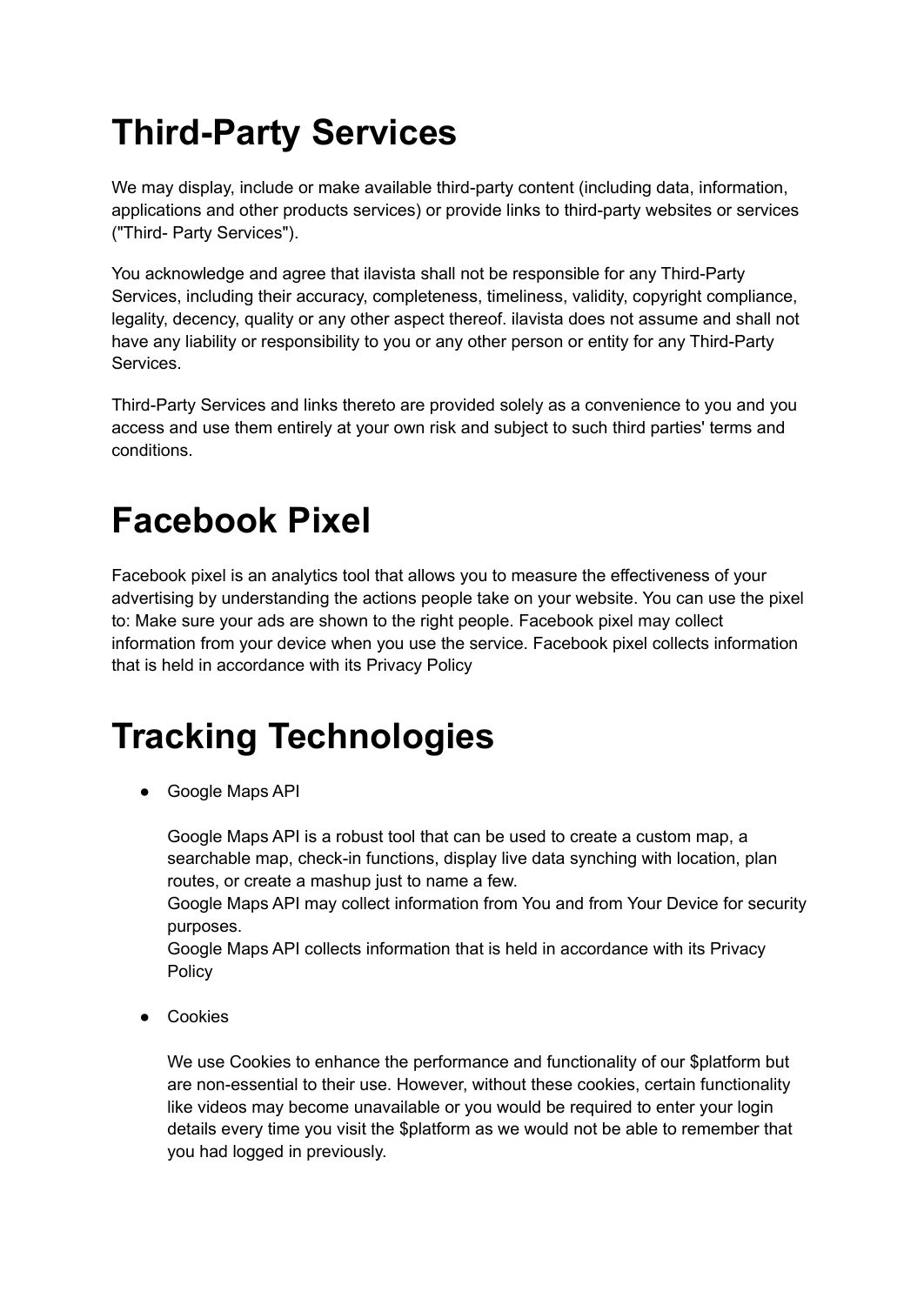# **Third-Party Services**

We may display, include or make available third-party content (including data, information, applications and other products services) or provide links to third-party websites or services ("Third- Party Services").

You acknowledge and agree that ilavista shall not be responsible for any Third-Party Services, including their accuracy, completeness, timeliness, validity, copyright compliance, legality, decency, quality or any other aspect thereof. ilavista does not assume and shall not have any liability or responsibility to you or any other person or entity for any Third-Party Services.

Third-Party Services and links thereto are provided solely as a convenience to you and you access and use them entirely at your own risk and subject to such third parties' terms and conditions.

#### **Facebook Pixel**

Facebook pixel is an analytics tool that allows you to measure the effectiveness of your advertising by understanding the actions people take on your website. You can use the pixel to: Make sure your ads are shown to the right people. Facebook pixel may collect information from your device when you use the service. Facebook pixel collects information that is held in accordance with its Privacy Policy

# **Tracking Technologies**

● Google Maps API

Google Maps API is a robust tool that can be used to create a custom map, a searchable map, check-in functions, display live data synching with location, plan routes, or create a mashup just to name a few.

Google Maps API may collect information from You and from Your Device for security purposes.

Google Maps API collects information that is held in accordance with its Privacy Policy

● Cookies

We use Cookies to enhance the performance and functionality of our \$platform but are non-essential to their use. However, without these cookies, certain functionality like videos may become unavailable or you would be required to enter your login details every time you visit the \$platform as we would not be able to remember that you had logged in previously.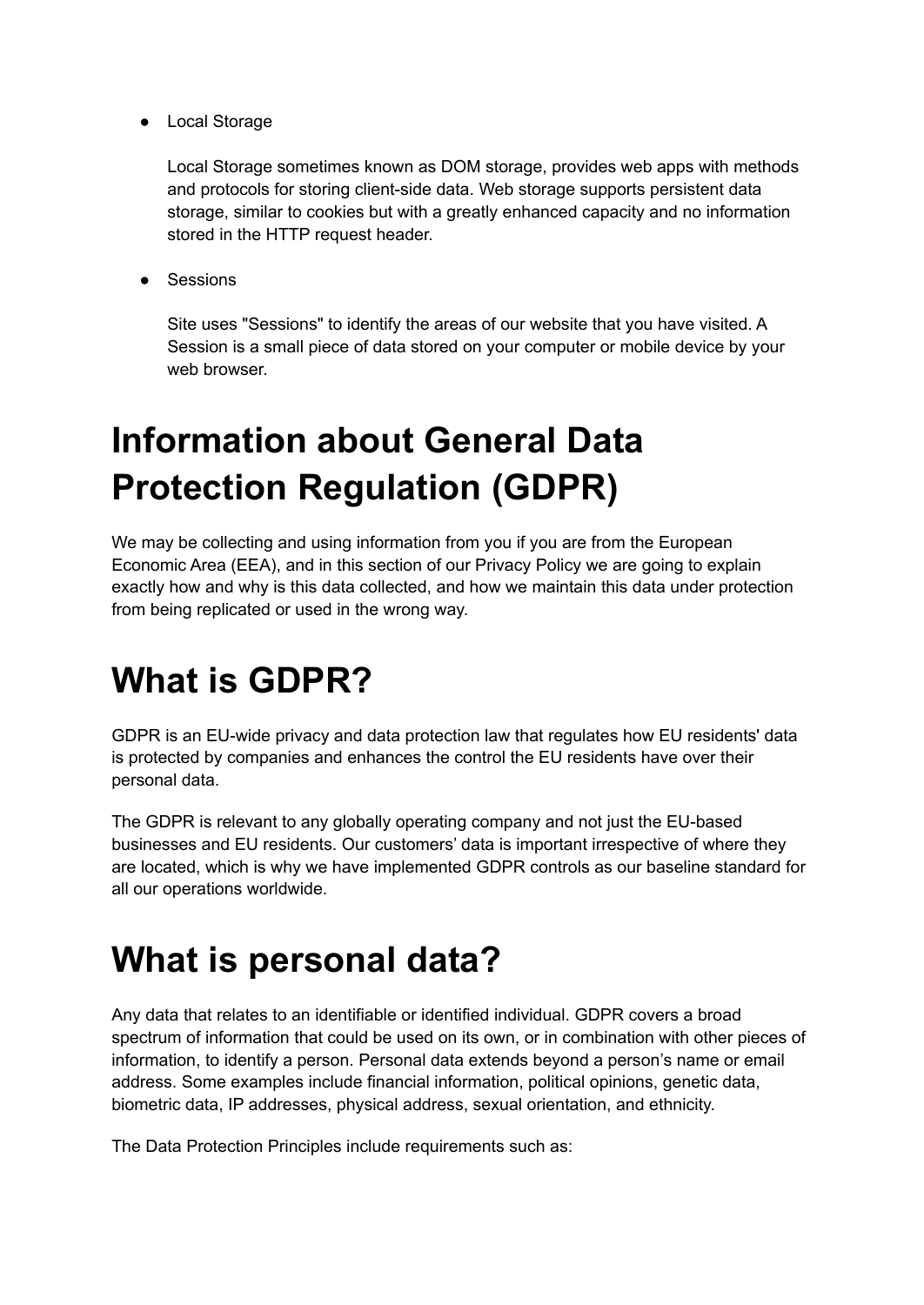● Local Storage

Local Storage sometimes known as DOM storage, provides web apps with methods and protocols for storing client-side data. Web storage supports persistent data storage, similar to cookies but with a greatly enhanced capacity and no information stored in the HTTP request header.

● Sessions

Site uses "Sessions" to identify the areas of our website that you have visited. A Session is a small piece of data stored on your computer or mobile device by your web browser

## **Information about General Data Protection Regulation (GDPR)**

We may be collecting and using information from you if you are from the European Economic Area (EEA), and in this section of our Privacy Policy we are going to explain exactly how and why is this data collected, and how we maintain this data under protection from being replicated or used in the wrong way.

## **What is GDPR?**

GDPR is an EU-wide privacy and data protection law that regulates how EU residents' data is protected by companies and enhances the control the EU residents have over their personal data.

The GDPR is relevant to any globally operating company and not just the EU-based businesses and EU residents. Our customers' data is important irrespective of where they are located, which is why we have implemented GDPR controls as our baseline standard for all our operations worldwide.

## **What is personal data?**

Any data that relates to an identifiable or identified individual. GDPR covers a broad spectrum of information that could be used on its own, or in combination with other pieces of information, to identify a person. Personal data extends beyond a person's name or email address. Some examples include financial information, political opinions, genetic data, biometric data, IP addresses, physical address, sexual orientation, and ethnicity.

The Data Protection Principles include requirements such as: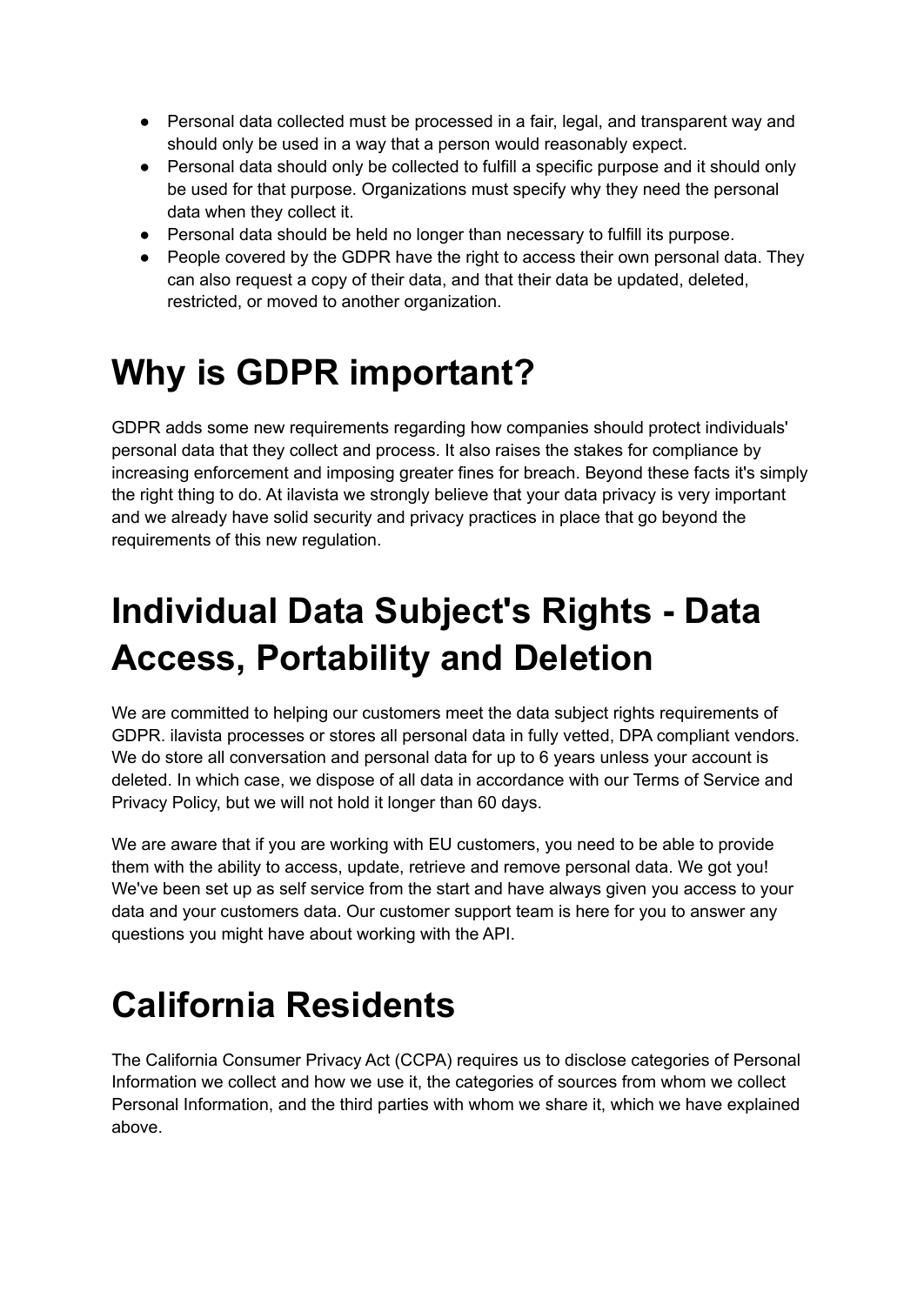- Personal data collected must be processed in a fair, legal, and transparent way and should only be used in a way that a person would reasonably expect.
- Personal data should only be collected to fulfill a specific purpose and it should only be used for that purpose. Organizations must specify why they need the personal data when they collect it.
- Personal data should be held no longer than necessary to fulfill its purpose.
- People covered by the GDPR have the right to access their own personal data. They can also request a copy of their data, and that their data be updated, deleted, restricted, or moved to another organization.

### **Why is GDPR important?**

GDPR adds some new requirements regarding how companies should protect individuals' personal data that they collect and process. It also raises the stakes for compliance by increasing enforcement and imposing greater fines for breach. Beyond these facts it's simply the right thing to do. At ilavista we strongly believe that your data privacy is very important and we already have solid security and privacy practices in place that go beyond the requirements of this new regulation.

# **Individual Data Subject's Rights - Data Access, Portability and Deletion**

We are committed to helping our customers meet the data subject rights requirements of GDPR. ilavista processes or stores all personal data in fully vetted, DPA compliant vendors. We do store all conversation and personal data for up to 6 years unless your account is deleted. In which case, we dispose of all data in accordance with our Terms of Service and Privacy Policy, but we will not hold it longer than 60 days.

We are aware that if you are working with EU customers, you need to be able to provide them with the ability to access, update, retrieve and remove personal data. We got you! We've been set up as self service from the start and have always given you access to your data and your customers data. Our customer support team is here for you to answer any questions you might have about working with the API.

## **California Residents**

The California Consumer Privacy Act (CCPA) requires us to disclose categories of Personal Information we collect and how we use it, the categories of sources from whom we collect Personal Information, and the third parties with whom we share it, which we have explained above.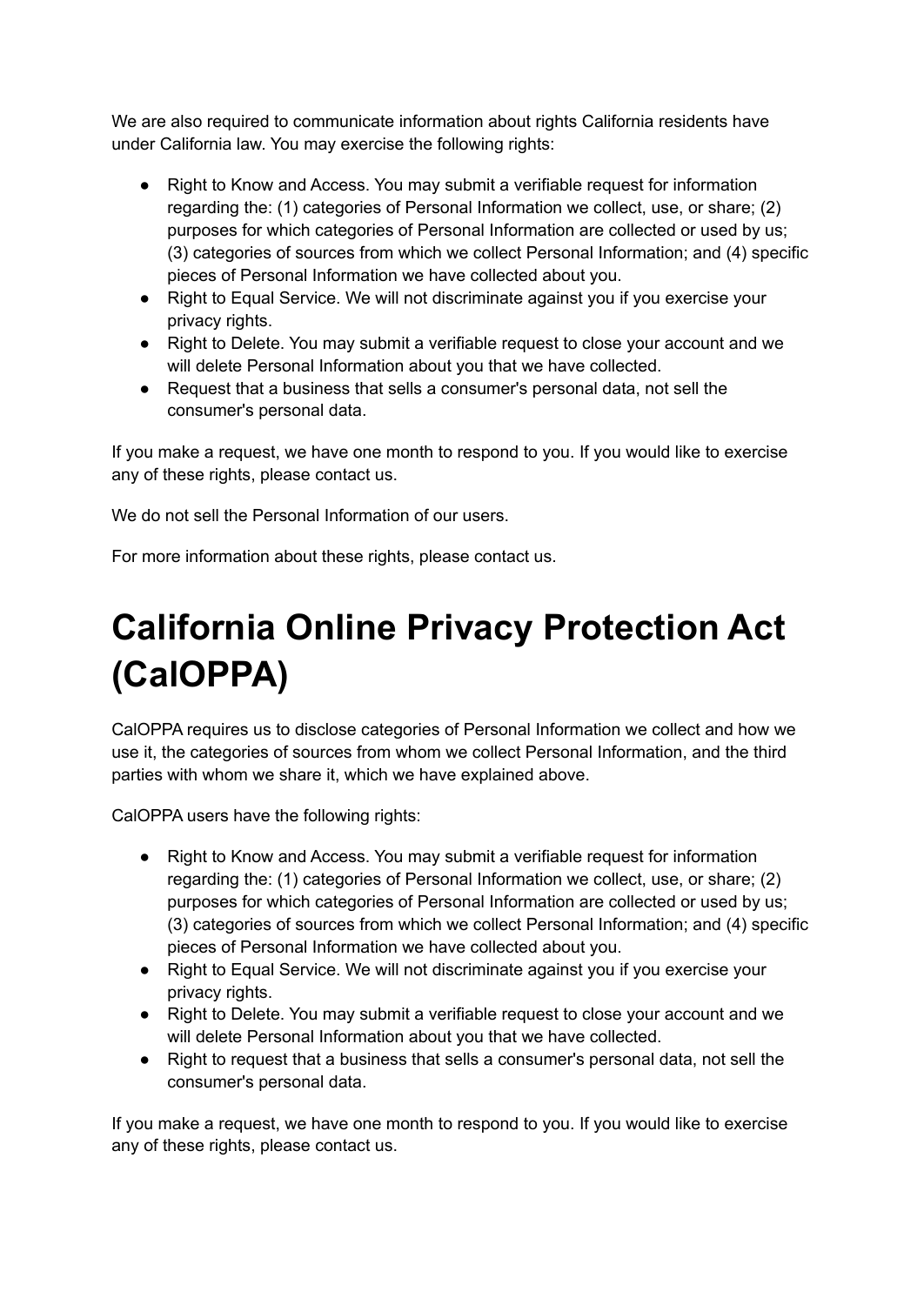We are also required to communicate information about rights California residents have under California law. You may exercise the following rights:

- Right to Know and Access. You may submit a verifiable request for information regarding the: (1) categories of Personal Information we collect, use, or share; (2) purposes for which categories of Personal Information are collected or used by us; (3) categories of sources from which we collect Personal Information; and (4) specific pieces of Personal Information we have collected about you.
- Right to Equal Service. We will not discriminate against you if you exercise your privacy rights.
- Right to Delete. You may submit a verifiable request to close your account and we will delete Personal Information about you that we have collected.
- Request that a business that sells a consumer's personal data, not sell the consumer's personal data.

If you make a request, we have one month to respond to you. If you would like to exercise any of these rights, please contact us.

We do not sell the Personal Information of our users.

For more information about these rights, please contact us.

# **California Online Privacy Protection Act (CalOPPA)**

CalOPPA requires us to disclose categories of Personal Information we collect and how we use it, the categories of sources from whom we collect Personal Information, and the third parties with whom we share it, which we have explained above.

CalOPPA users have the following rights:

- Right to Know and Access. You may submit a verifiable request for information regarding the: (1) categories of Personal Information we collect, use, or share; (2) purposes for which categories of Personal Information are collected or used by us; (3) categories of sources from which we collect Personal Information; and (4) specific pieces of Personal Information we have collected about you.
- Right to Equal Service. We will not discriminate against you if you exercise your privacy rights.
- Right to Delete. You may submit a verifiable request to close your account and we will delete Personal Information about you that we have collected.
- Right to request that a business that sells a consumer's personal data, not sell the consumer's personal data.

If you make a request, we have one month to respond to you. If you would like to exercise any of these rights, please contact us.